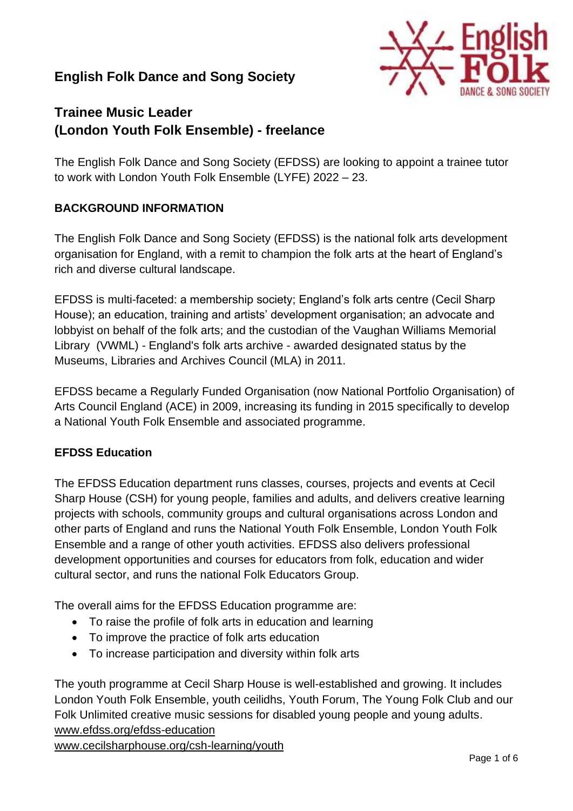## **English Folk Dance and Song Society**



# **Trainee Music Leader (London Youth Folk Ensemble) - freelance**

The English Folk Dance and Song Society (EFDSS) are looking to appoint a trainee tutor to work with London Youth Folk Ensemble (LYFE) 2022 – 23.

## **BACKGROUND INFORMATION**

The English Folk Dance and Song Society (EFDSS) is the national folk arts development organisation for England, with a remit to champion the folk arts at the heart of England's rich and diverse cultural landscape.

EFDSS is multi-faceted: a membership society; England's folk arts centre (Cecil Sharp House); an education, training and artists' development organisation; an advocate and lobbyist on behalf of the folk arts; and the custodian of the Vaughan Williams Memorial Library (VWML) - England's folk arts archive - awarded designated status by the Museums, Libraries and Archives Council (MLA) in 2011.

EFDSS became a Regularly Funded Organisation (now National Portfolio Organisation) of Arts Council England (ACE) in 2009, increasing its funding in 2015 specifically to develop a National Youth Folk Ensemble and associated programme.

#### **EFDSS Education**

The EFDSS Education department runs classes, courses, projects and events at Cecil Sharp House (CSH) for young people, families and adults, and delivers creative learning projects with schools, community groups and cultural organisations across London and other parts of England and runs the National Youth Folk Ensemble, London Youth Folk Ensemble and a range of other youth activities. EFDSS also delivers professional development opportunities and courses for educators from folk, education and wider cultural sector, and runs the national Folk Educators Group.

The overall aims for the EFDSS Education programme are:

- To raise the profile of folk arts in education and learning
- To improve the practice of folk arts education
- To increase participation and diversity within folk arts

The youth programme at Cecil Sharp House is well-established and growing. It includes London Youth Folk Ensemble, youth ceilidhs, Youth Forum, The Young Folk Club and our Folk Unlimited creative music sessions for disabled young people and young adults. [www.efdss.org/efdss-education](http://www.efdss.org/efdss-education)

[www.cecilsharphouse.org/csh-learning/youth](https://www.cecilsharphouse.org/csh-learning/youth)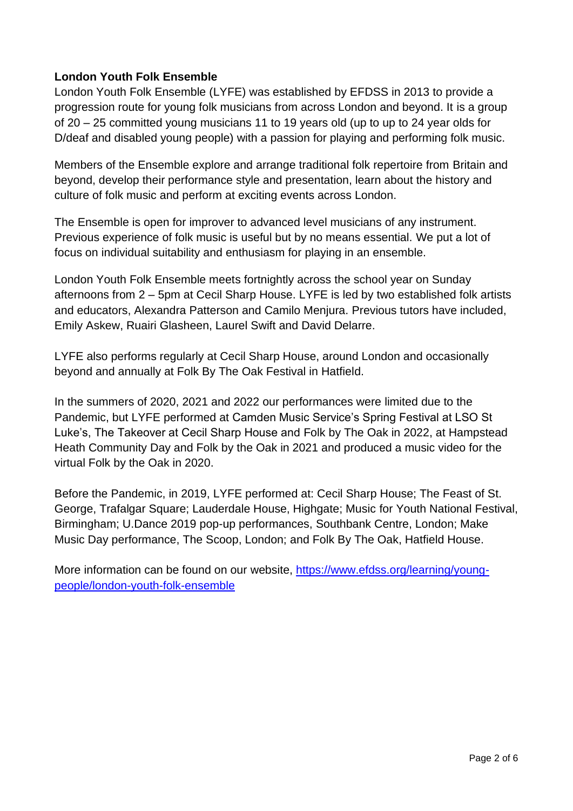## **London Youth Folk Ensemble**

London Youth Folk Ensemble (LYFE) was established by EFDSS in 2013 to provide a progression route for young folk musicians from across London and beyond. It is a group of 20 – 25 committed young musicians 11 to 19 years old (up to up to 24 year olds for D/deaf and disabled young people) with a passion for playing and performing folk music.

Members of the Ensemble explore and arrange traditional folk repertoire from Britain and beyond, develop their performance style and presentation, learn about the history and culture of folk music and perform at exciting events across London.

The Ensemble is open for improver to advanced level musicians of any instrument. Previous experience of folk music is useful but by no means essential. We put a lot of focus on individual suitability and enthusiasm for playing in an ensemble.

London Youth Folk Ensemble meets fortnightly across the school year on Sunday afternoons from 2 – 5pm at Cecil Sharp House. LYFE is led by two established folk artists and educators, Alexandra Patterson and Camilo Menjura. Previous tutors have included, Emily Askew, Ruairi Glasheen, Laurel Swift and David Delarre.

LYFE also performs regularly at Cecil Sharp House, around London and occasionally beyond and annually at Folk By The Oak Festival in Hatfield.

In the summers of 2020, 2021 and 2022 our performances were limited due to the Pandemic, but LYFE performed at Camden Music Service's Spring Festival at LSO St Luke's, The Takeover at Cecil Sharp House and Folk by The Oak in 2022, at Hampstead Heath Community Day and Folk by the Oak in 2021 and produced a music video for the virtual Folk by the Oak in 2020.

Before the Pandemic, in 2019, LYFE performed at: Cecil Sharp House; The Feast of St. George, Trafalgar Square; Lauderdale House, Highgate; Music for Youth National Festival, Birmingham; U.Dance 2019 pop-up performances, Southbank Centre, London; Make Music Day performance, The Scoop, London; and Folk By The Oak, Hatfield House.

More information can be found on our website, [https://www.efdss.org/learning/young](https://www.efdss.org/learning/young-people/london-youth-folk-ensemble)[people/london-youth-folk-ensemble](https://www.efdss.org/learning/young-people/london-youth-folk-ensemble)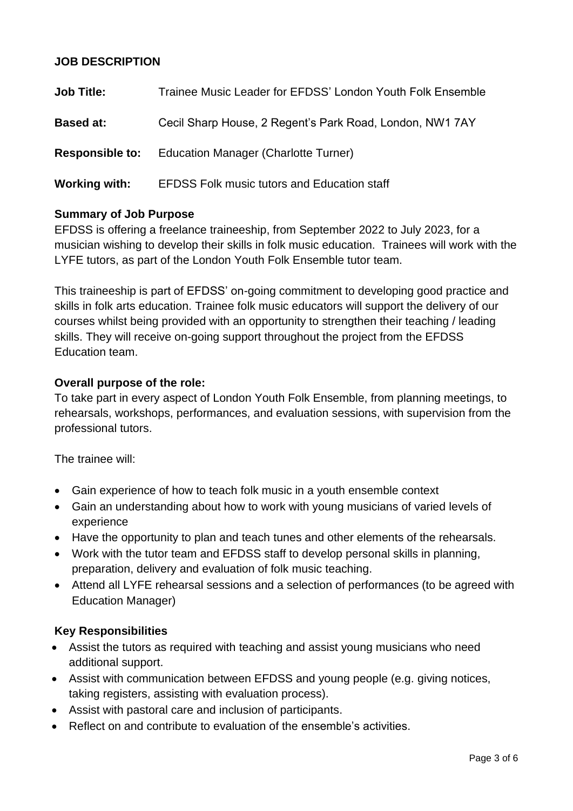## **JOB DESCRIPTION**

| <b>Job Title:</b> | Trainee Music Leader for EFDSS' London Youth Folk Ensemble  |  |
|-------------------|-------------------------------------------------------------|--|
| <b>Based at:</b>  | Cecil Sharp House, 2 Regent's Park Road, London, NW1 7AY    |  |
|                   | <b>Responsible to:</b> Education Manager (Charlotte Turner) |  |
| Working with:     | <b>EFDSS Folk music tutors and Education staff</b>          |  |

## **Summary of Job Purpose**

EFDSS is offering a freelance traineeship, from September 2022 to July 2023, for a musician wishing to develop their skills in folk music education. Trainees will work with the LYFE tutors, as part of the London Youth Folk Ensemble tutor team.

This traineeship is part of EFDSS' on-going commitment to developing good practice and skills in folk arts education. Trainee folk music educators will support the delivery of our courses whilst being provided with an opportunity to strengthen their teaching / leading skills. They will receive on-going support throughout the project from the EFDSS Education team.

## **Overall purpose of the role:**

To take part in every aspect of London Youth Folk Ensemble, from planning meetings, to rehearsals, workshops, performances, and evaluation sessions, with supervision from the professional tutors.

The trainee will:

- Gain experience of how to teach folk music in a youth ensemble context
- Gain an understanding about how to work with young musicians of varied levels of experience
- Have the opportunity to plan and teach tunes and other elements of the rehearsals.
- Work with the tutor team and EFDSS staff to develop personal skills in planning, preparation, delivery and evaluation of folk music teaching.
- Attend all LYFE rehearsal sessions and a selection of performances (to be agreed with Education Manager)

## **Key Responsibilities**

- Assist the tutors as required with teaching and assist young musicians who need additional support.
- Assist with communication between EFDSS and young people (e.g. giving notices, taking registers, assisting with evaluation process).
- Assist with pastoral care and inclusion of participants.
- Reflect on and contribute to evaluation of the ensemble's activities.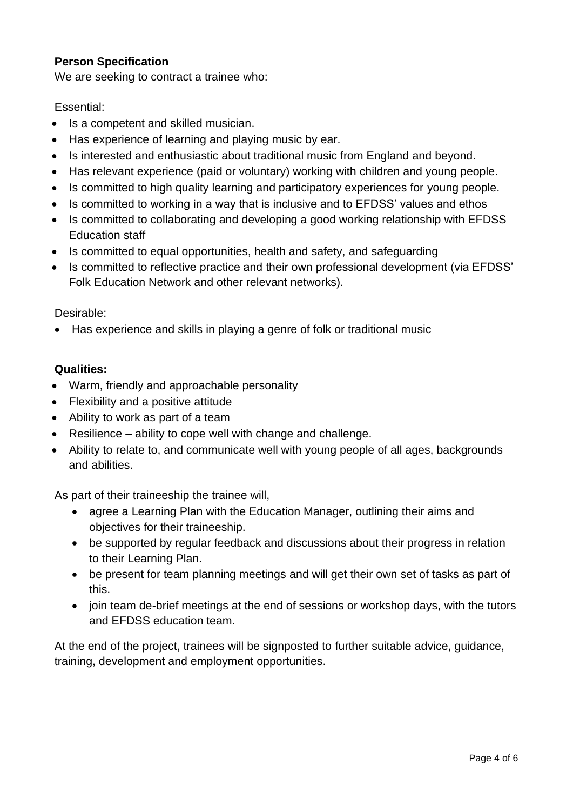## **Person Specification**

We are seeking to contract a trainee who:

#### Essential:

- Is a competent and skilled musician.
- Has experience of learning and playing music by ear.
- Is interested and enthusiastic about traditional music from England and beyond.
- Has relevant experience (paid or voluntary) working with children and young people.
- Is committed to high quality learning and participatory experiences for young people.
- Is committed to working in a way that is inclusive and to EFDSS' values and ethos
- Is committed to collaborating and developing a good working relationship with EFDSS Education staff
- Is committed to equal opportunities, health and safety, and safeguarding
- Is committed to reflective practice and their own professional development (via EFDSS' Folk Education Network and other relevant networks).

#### Desirable:

• Has experience and skills in playing a genre of folk or traditional music

## **Qualities:**

- Warm, friendly and approachable personality
- Flexibility and a positive attitude
- Ability to work as part of a team
- Resilience ability to cope well with change and challenge.
- Ability to relate to, and communicate well with young people of all ages, backgrounds and abilities.

As part of their traineeship the trainee will,

- agree a Learning Plan with the Education Manager, outlining their aims and objectives for their traineeship.
- be supported by regular feedback and discussions about their progress in relation to their Learning Plan.
- be present for team planning meetings and will get their own set of tasks as part of this.
- join team de-brief meetings at the end of sessions or workshop days, with the tutors and EFDSS education team.

At the end of the project, trainees will be signposted to further suitable advice, guidance, training, development and employment opportunities.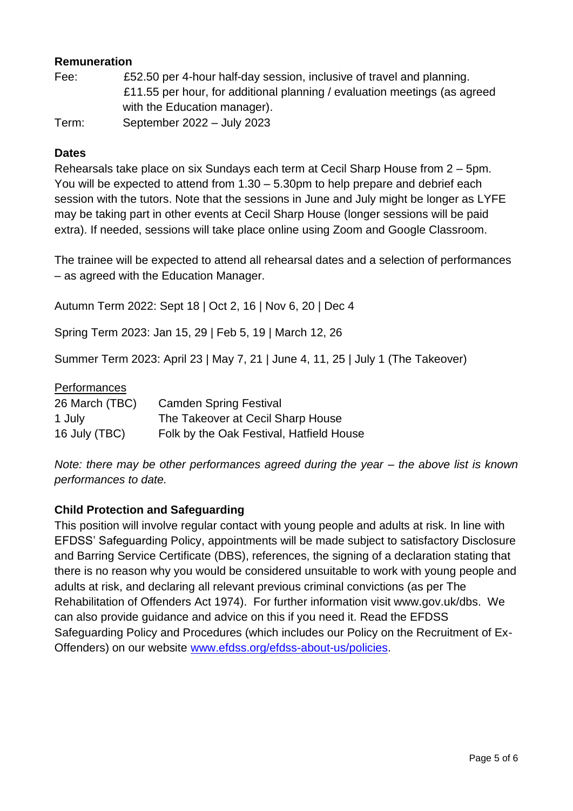## **Remuneration**

| Fee:  | £52.50 per 4-hour half-day session, inclusive of travel and planning.     |
|-------|---------------------------------------------------------------------------|
|       | £11.55 per hour, for additional planning / evaluation meetings (as agreed |
|       | with the Education manager).                                              |
| Term: | September 2022 – July 2023                                                |

#### **Dates**

Rehearsals take place on six Sundays each term at Cecil Sharp House from 2 – 5pm. You will be expected to attend from 1.30 – 5.30pm to help prepare and debrief each session with the tutors. Note that the sessions in June and July might be longer as LYFE may be taking part in other events at Cecil Sharp House (longer sessions will be paid extra). If needed, sessions will take place online using Zoom and Google Classroom.

The trainee will be expected to attend all rehearsal dates and a selection of performances – as agreed with the Education Manager.

Autumn Term 2022: Sept 18 | Oct 2, 16 | Nov 6, 20 | Dec 4

Spring Term 2023: Jan 15, 29 | Feb 5, 19 | March 12, 26

Summer Term 2023: April 23 | May 7, 21 | June 4, 11, 25 | July 1 (The Takeover)

Performances

| 26 March (TBC) | <b>Camden Spring Festival</b>            |
|----------------|------------------------------------------|
| 1 July         | The Takeover at Cecil Sharp House        |
| 16 July (TBC)  | Folk by the Oak Festival, Hatfield House |

*Note: there may be other performances agreed during the year – the above list is known performances to date.*

#### **Child Protection and Safeguarding**

This position will involve regular contact with young people and adults at risk. In line with EFDSS' Safeguarding Policy, appointments will be made subject to satisfactory Disclosure and Barring Service Certificate (DBS), references, the signing of a declaration stating that there is no reason why you would be considered unsuitable to work with young people and adults at risk, and declaring all relevant previous criminal convictions (as per The Rehabilitation of Offenders Act 1974). For further information visit www.gov.uk/dbs. We can also provide guidance and advice on this if you need it. Read the EFDSS Safeguarding Policy and Procedures (which includes our Policy on the Recruitment of Ex-Offenders) on our website [www.efdss.org/efdss-about-us/policies.](www.efdss.org/efdss-about-us/policies)